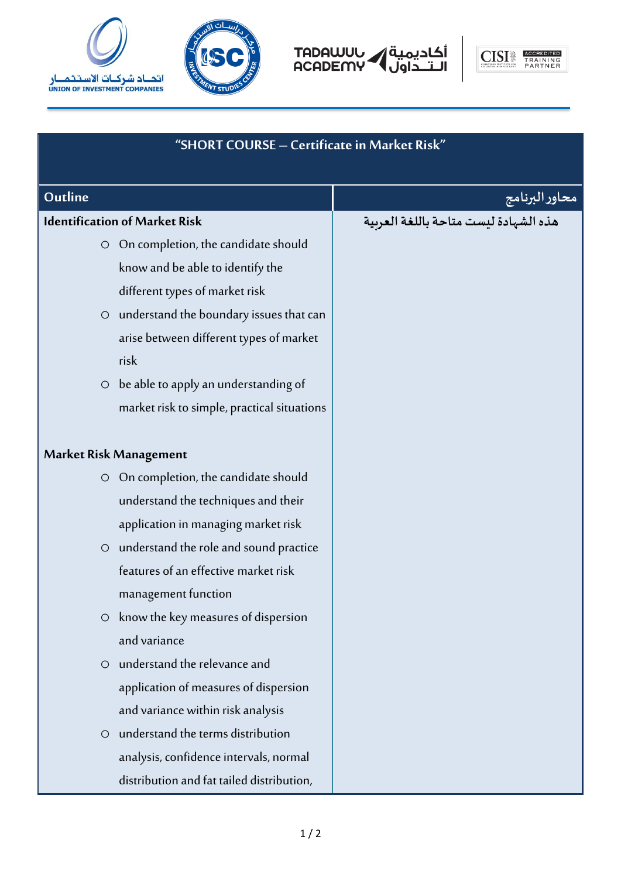



أكاديمية<br>الـتــداول ACADEMY



| "SHORT COURSE - Certificate in Market Risk" |                                             |                                                    |  |
|---------------------------------------------|---------------------------------------------|----------------------------------------------------|--|
| <b>Outline</b>                              |                                             | محاور البرنامج                                     |  |
| <b>Identification of Market Risk</b>        |                                             | .<br>هذه الشهادة لي <i>ست</i> متاحة باللغة العربية |  |
| $\circ$                                     | On completion, the candidate should         |                                                    |  |
|                                             | know and be able to identify the            |                                                    |  |
|                                             | different types of market risk              |                                                    |  |
|                                             | O understand the boundary issues that can   |                                                    |  |
|                                             | arise between different types of market     |                                                    |  |
|                                             | risk                                        |                                                    |  |
| $\bigcirc$                                  | be able to apply an understanding of        |                                                    |  |
|                                             | market risk to simple, practical situations |                                                    |  |
| <b>Market Risk Management</b>               |                                             |                                                    |  |
|                                             | O On completion, the candidate should       |                                                    |  |
|                                             | understand the techniques and their         |                                                    |  |
|                                             | application in managing market risk         |                                                    |  |
|                                             | O understand the role and sound practice    |                                                    |  |
|                                             | features of an effective market risk        |                                                    |  |
|                                             | management function                         |                                                    |  |
| $\circ$                                     | know the key measures of dispersion         |                                                    |  |
|                                             | and variance                                |                                                    |  |
| $\circ$                                     | understand the relevance and                |                                                    |  |
|                                             | application of measures of dispersion       |                                                    |  |
|                                             | and variance within risk analysis           |                                                    |  |
| $\circ$                                     | understand the terms distribution           |                                                    |  |
|                                             | analysis, confidence intervals, normal      |                                                    |  |
|                                             | distribution and fat tailed distribution,   |                                                    |  |